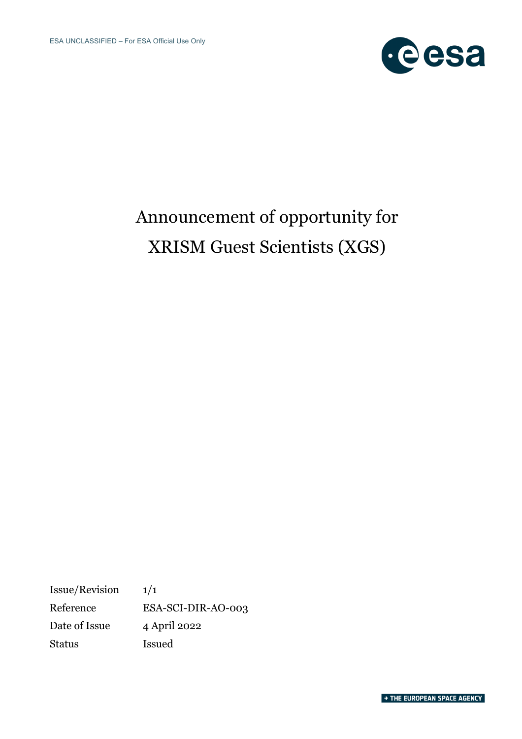

# Announcement of opportunity for XRISM Guest Scientists (XGS)

Issue/Revision 1/1 Reference ESA-SCI-DIR-AO-003 Date of Issue 4 April 2022 Status Issued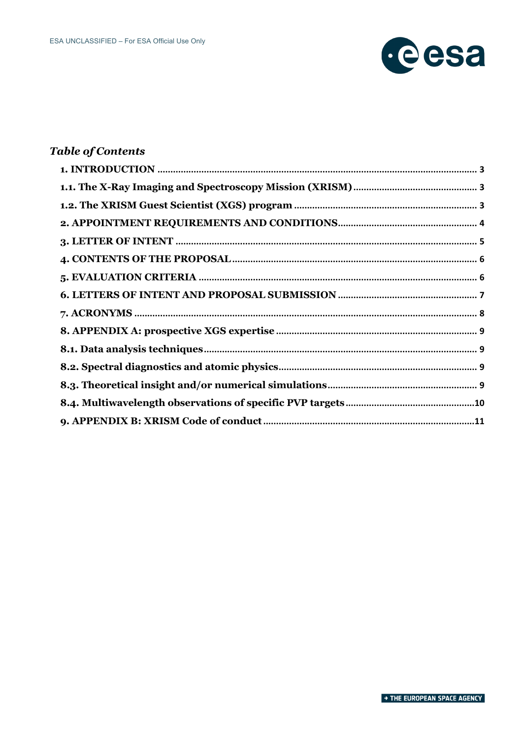

### **Table of Contents**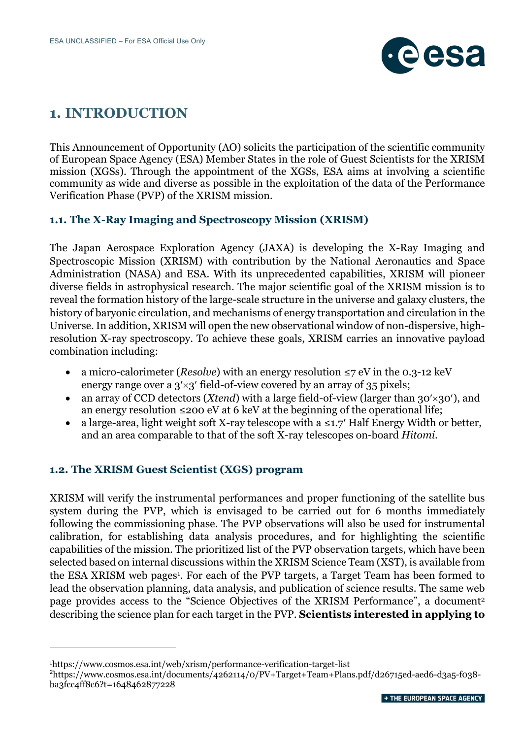

## **1. INTRODUCTION**

This Announcement of Opportunity (AO) solicits the participation of the scientific community of European Space Agency (ESA) Member States in the role of Guest Scientists for the XRISM mission (XGSs). Through the appointment of the XGSs, ESA aims at involving a scientific community as wide and diverse as possible in the exploitation of the data of the Performance Verification Phase (PVP) of the XRISM mission.

### **1.1. The X-Ray Imaging and Spectroscopy Mission (XRISM)**

The Japan Aerospace Exploration Agency (JAXA) is developing the X-Ray Imaging and Spectroscopic Mission (XRISM) with contribution by the National Aeronautics and Space Administration (NASA) and ESA. With its unprecedented capabilities, XRISM will pioneer diverse fields in astrophysical research. The major scientific goal of the XRISM mission is to reveal the formation history of the large-scale structure in the universe and galaxy clusters, the history of baryonic circulation, and mechanisms of energy transportation and circulation in the Universe. In addition, XRISM will open the new observational window of non-dispersive, highresolution X-ray spectroscopy. To achieve these goals, XRISM carries an innovative payload combination including:

- a micro-calorimeter (*Resolve*) with an energy resolution ≤7 eV in the 0.3-12 keV energy range over a  $3' \times 3'$  field-of-view covered by an array of 35 pixels;
- an array of CCD detectors (*Xtend*) with a large field-of-view (larger than 30<sup>'</sup>×30'), and an energy resolution  $\leq 200 \text{ eV}$  at 6 keV at the beginning of the operational life;
- a large-area, light weight soft X-ray telescope with a  $\leq 1.7'$  Half Energy Width or better, and an area comparable to that of the soft X-ray telescopes on-board *Hitomi*.

### **1.2. The XRISM Guest Scientist (XGS) program**

XRISM will verify the instrumental performances and proper functioning of the satellite bus system during the PVP, which is envisaged to be carried out for 6 months immediately following the commissioning phase. The PVP observations will also be used for instrumental calibration, for establishing data analysis procedures, and for highlighting the scientific capabilities of the mission. The prioritized list of the PVP observation targets, which have been selected based on internal discussions within the XRISM Science Team (XST), is available from the ESA XRISM web pages<sup>1</sup>. For each of the PVP targets, a Target Team has been formed to lead the observation planning, data analysis, and publication of science results. The same web page provides access to the "Science Objectives of the XRISM Performance", a document<sup>2</sup> describing the science plan for each target in the PVP. **Scientists interested in applying to** 

<sup>1</sup>https://www.cosmos.esa.int/web/xrism/performance-verification-target-list

<sup>&</sup>lt;sup>2</sup>https://www.cosmos.esa.int/documents/4262114/0/PV+Target+Team+Plans.pdf/d26715ed-aed6-d3a5-f038ba3fcc4ff8c6?t=1648462877228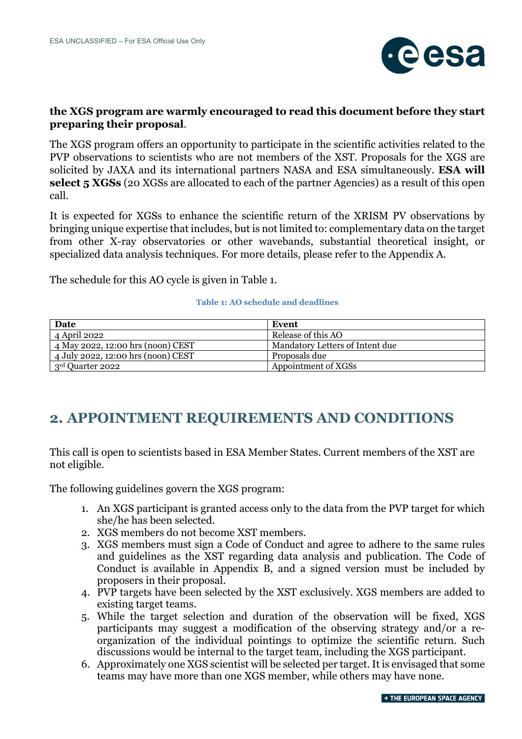

### **the XGS program are warmly encouraged to read this document before they start preparing their proposal**.

The XGS program offers an opportunity to participate in the scientific activities related to the PVP observations to scientists who are not members of the XST. Proposals for the XGS are solicited by JAXA and its international partners NASA and ESA simultaneously. **ESA will select 5 XGSs** (20 XGSs are allocated to each of the partner Agencies) as a result of this open call.

It is expected for XGSs to enhance the scientific return of the XRISM PV observations by bringing unique expertise that includes, but is not limited to: complementary data on the target from other X-ray observatories or other wavebands, substantial theoretical insight, or specialized data analysis techniques. For more details, please refer to the Appendix A.

The schedule for this AO cycle is given in Table 1.

#### **Table 1: AO schedule and deadlines**

| Date                               | Event                           |
|------------------------------------|---------------------------------|
| 4 April 2022                       | Release of this AO              |
| 4 May 2022, 12:00 hrs (noon) CEST  | Mandatory Letters of Intent due |
| 4 July 2022, 12:00 hrs (noon) CEST | Proposals due                   |
| 3rd Quarter 2022                   | Appointment of XGSs             |

# **2. APPOINTMENT REQUIREMENTS AND CONDITIONS**

This call is open to scientists based in ESA Member States. Current members of the XST are not eligible.

The following guidelines govern the XGS program:

- 1. An XGS participant is granted access only to the data from the PVP target for which she/he has been selected.
- 2. XGS members do not become XST members.
- 3. XGS members must sign a Code of Conduct and agree to adhere to the same rules and guidelines as the XST regarding data analysis and publication. The Code of Conduct is available in Appendix B, and a signed version must be included by proposers in their proposal.
- 4. PVP targets have been selected by the XST exclusively. XGS members are added to existing target teams.
- 5. While the target selection and duration of the observation will be fixed, XGS participants may suggest a modification of the observing strategy and/or a reorganization of the individual pointings to optimize the scientific return. Such discussions would be internal to the target team, including the XGS participant.
- 6. Approximately one XGS scientist will be selected per target. It is envisaged that some teams may have more than one XGS member, while others may have none.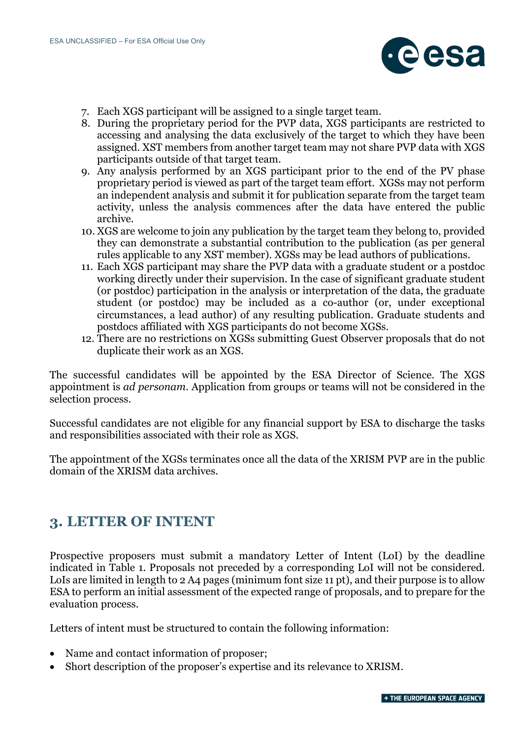

- 7. Each XGS participant will be assigned to a single target team.
- 8. During the proprietary period for the PVP data, XGS participants are restricted to accessing and analysing the data exclusively of the target to which they have been assigned. XST members from another target team may not share PVP data with XGS participants outside of that target team.
- 9. Any analysis performed by an XGS participant prior to the end of the PV phase proprietary period is viewed as part of the target team effort. XGSs may not perform an independent analysis and submit it for publication separate from the target team activity, unless the analysis commences after the data have entered the public archive.
- 10. XGS are welcome to join any publication by the target team they belong to, provided they can demonstrate a substantial contribution to the publication (as per general rules applicable to any XST member). XGSs may be lead authors of publications.
- 11. Each XGS participant may share the PVP data with a graduate student or a postdoc working directly under their supervision. In the case of significant graduate student (or postdoc) participation in the analysis or interpretation of the data, the graduate student (or postdoc) may be included as a co-author (or, under exceptional circumstances, a lead author) of any resulting publication. Graduate students and postdocs affiliated with XGS participants do not become XGSs.
- 12. There are no restrictions on XGSs submitting Guest Observer proposals that do not duplicate their work as an XGS.

The successful candidates will be appointed by the ESA Director of Science. The XGS appointment is *ad personam*. Application from groups or teams will not be considered in the selection process.

Successful candidates are not eligible for any financial support by ESA to discharge the tasks and responsibilities associated with their role as XGS.

The appointment of the XGSs terminates once all the data of the XRISM PVP are in the public domain of the XRISM data archives.

### **3. LETTER OF INTENT**

Prospective proposers must submit a mandatory Letter of Intent (LoI) by the deadline indicated in Table 1. Proposals not preceded by a corresponding LoI will not be considered. LoIs are limited in length to 2 A4 pages (minimum font size 11 pt), and their purpose is to allow ESA to perform an initial assessment of the expected range of proposals, and to prepare for the evaluation process.

Letters of intent must be structured to contain the following information:

- Name and contact information of proposer;
- Short description of the proposer's expertise and its relevance to XRISM.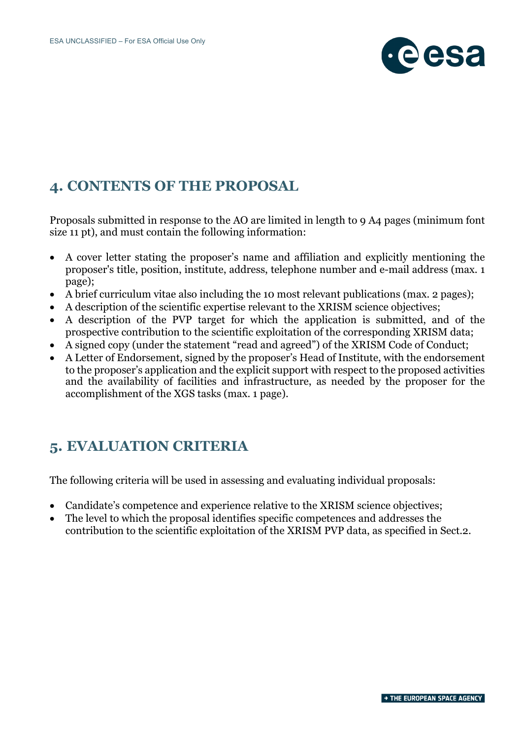

### **4. CONTENTS OF THE PROPOSAL**

Proposals submitted in response to the AO are limited in length to 9 A4 pages (minimum font size 11 pt), and must contain the following information:

- A cover letter stating the proposer's name and affiliation and explicitly mentioning the proposer's title, position, institute, address, telephone number and e-mail address (max. 1 page);
- A brief curriculum vitae also including the 10 most relevant publications (max. 2 pages);
- A description of the scientific expertise relevant to the XRISM science objectives;
- A description of the PVP target for which the application is submitted, and of the prospective contribution to the scientific exploitation of the corresponding XRISM data;
- A signed copy (under the statement "read and agreed") of the XRISM Code of Conduct;
- A Letter of Endorsement, signed by the proposer's Head of Institute, with the endorsement to the proposer's application and the explicit support with respect to the proposed activities and the availability of facilities and infrastructure, as needed by the proposer for the accomplishment of the XGS tasks (max. 1 page).

### **5. EVALUATION CRITERIA**

The following criteria will be used in assessing and evaluating individual proposals:

- Candidate's competence and experience relative to the XRISM science objectives;
- The level to which the proposal identifies specific competences and addresses the contribution to the scientific exploitation of the XRISM PVP data, as specified in Sect.2.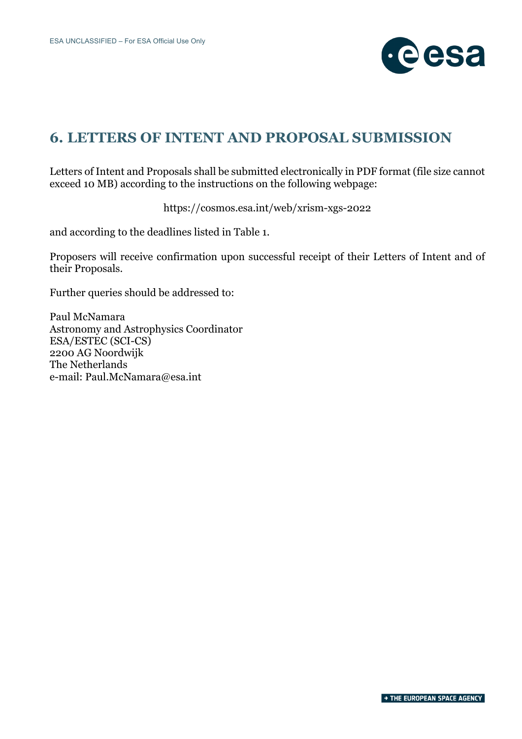

# **6. LETTERS OF INTENT AND PROPOSAL SUBMISSION**

Letters of Intent and Proposals shall be submitted electronically in PDF format (file size cannot exceed 10 MB) according to the instructions on the following webpage:

https://cosmos.esa.int/web/xrism-xgs-2022

and according to the deadlines listed in Table 1.

Proposers will receive confirmation upon successful receipt of their Letters of Intent and of their Proposals.

Further queries should be addressed to:

Paul McNamara Astronomy and Astrophysics Coordinator ESA/ESTEC (SCI-CS) 2200 AG Noordwijk The Netherlands e-mail: Paul.McNamara@esa.int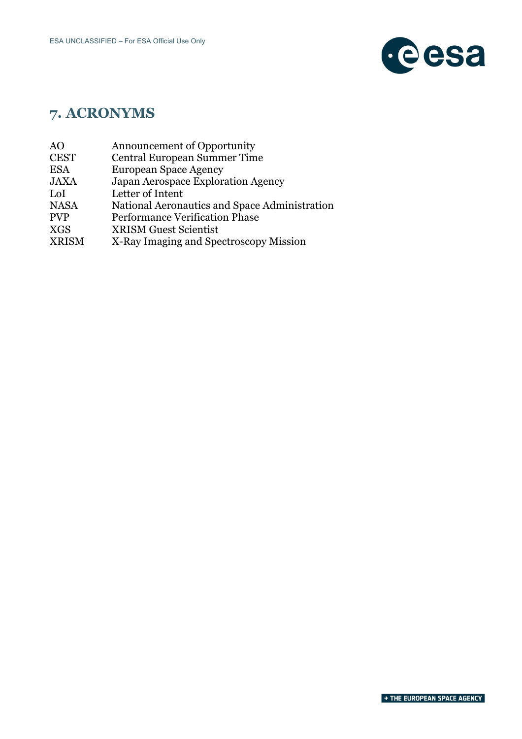

# **7. ACRONYMS**

- AO Announcement of Opportunity
- CEST Central European Summer Time<br>ESA European Space Agency
- ESA European Space Agency<br>JAXA Japan Aerospace Explore
- Japan Aerospace Exploration Agency
- LoI Letter of Intent
- NASA National Aeronautics and Space Administration
- PVP Performance Verification Phase
- XGS XRISM Guest Scientist
- XRISM X-Ray Imaging and Spectroscopy Mission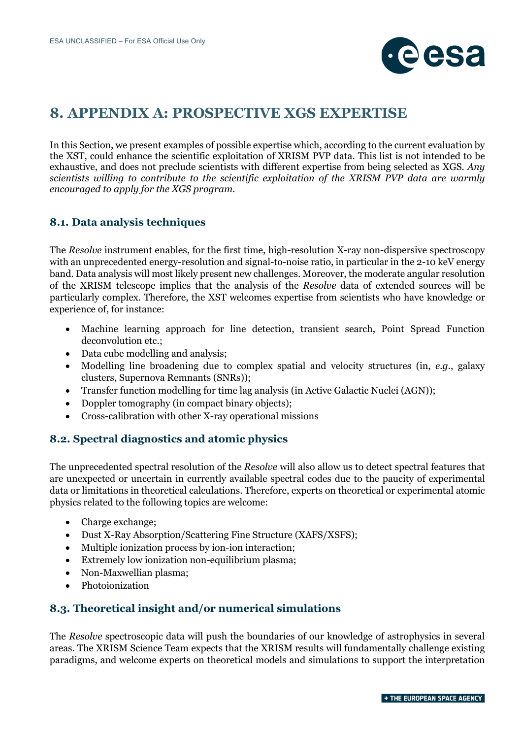

### **8. APPENDIX A: PROSPECTIVE XGS EXPERTISE**

In this Section, we present examples of possible expertise which, according to the current evaluation by the XST, could enhance the scientific exploitation of XRISM PVP data. This list is not intended to be exhaustive, and does not preclude scientists with different expertise from being selected as XGS. *Any scientists willing to contribute to the scientific exploitation of the XRISM PVP data are warmly encouraged to apply for the XGS program.*

### **8.1. Data analysis techniques**

The *Resolve* instrument enables, for the first time, high-resolution X-ray non-dispersive spectroscopy with an unprecedented energy-resolution and signal-to-noise ratio, in particular in the 2-10 keV energy band. Data analysis will most likely present new challenges. Moreover, the moderate angular resolution of the XRISM telescope implies that the analysis of the *Resolve* data of extended sources will be particularly complex. Therefore, the XST welcomes expertise from scientists who have knowledge or experience of, for instance:

- Machine learning approach for line detection, transient search, Point Spread Function deconvolution etc.;
- Data cube modelling and analysis;
- Modelling line broadening due to complex spatial and velocity structures (in, *e.g.*, galaxy clusters, Supernova Remnants (SNRs));
- Transfer function modelling for time lag analysis (in Active Galactic Nuclei (AGN));
- Doppler tomography (in compact binary objects);
- Cross-calibration with other X-ray operational missions

### **8.2. Spectral diagnostics and atomic physics**

The unprecedented spectral resolution of the *Resolve* will also allow us to detect spectral features that are unexpected or uncertain in currently available spectral codes due to the paucity of experimental data or limitations in theoretical calculations. Therefore, experts on theoretical or experimental atomic physics related to the following topics are welcome:

- Charge exchange;
- Dust X-Ray Absorption/Scattering Fine Structure (XAFS/XSFS);
- Multiple ionization process by ion-ion interaction;
- Extremely low ionization non-equilibrium plasma;
- Non-Maxwellian plasma;
- Photoionization

### **8.3. Theoretical insight and/or numerical simulations**

The *Resolve* spectroscopic data will push the boundaries of our knowledge of astrophysics in several areas. The XRISM Science Team expects that the XRISM results will fundamentally challenge existing paradigms, and welcome experts on theoretical models and simulations to support the interpretation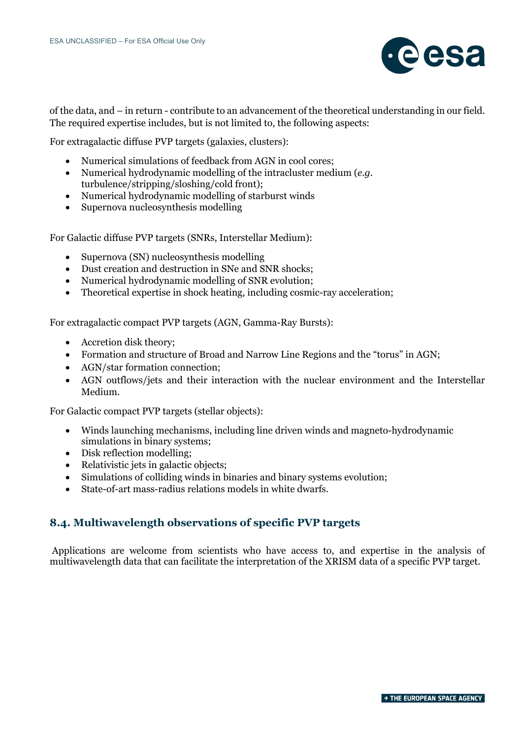

of the data, and – in return - contribute to an advancement of the theoretical understanding in our field. The required expertise includes, but is not limited to, the following aspects:

For extragalactic diffuse PVP targets (galaxies, clusters):

- Numerical simulations of feedback from AGN in cool cores;
- Numerical hydrodynamic modelling of the intracluster medium (*e.g.* turbulence/stripping/sloshing/cold front);
- Numerical hydrodynamic modelling of starburst winds
- Supernova nucleosynthesis modelling

For Galactic diffuse PVP targets (SNRs, Interstellar Medium):

- Supernova (SN) nucleosynthesis modelling
- Dust creation and destruction in SNe and SNR shocks;
- Numerical hydrodynamic modelling of SNR evolution;
- Theoretical expertise in shock heating, including cosmic-ray acceleration;

For extragalactic compact PVP targets (AGN, Gamma-Ray Bursts):

- Accretion disk theory;
- Formation and structure of Broad and Narrow Line Regions and the "torus" in AGN;
- AGN/star formation connection;
- AGN outflows/jets and their interaction with the nuclear environment and the Interstellar Medium.

For Galactic compact PVP targets (stellar objects):

- Winds launching mechanisms, including line driven winds and magneto-hydrodynamic simulations in binary systems;
- Disk reflection modelling;
- Relativistic jets in galactic objects;
- Simulations of colliding winds in binaries and binary systems evolution;
- State-of-art mass-radius relations models in white dwarfs.

### **8.4. Multiwavelength observations of specific PVP targets**

Applications are welcome from scientists who have access to, and expertise in the analysis of multiwavelength data that can facilitate the interpretation of the XRISM data of a specific PVP target.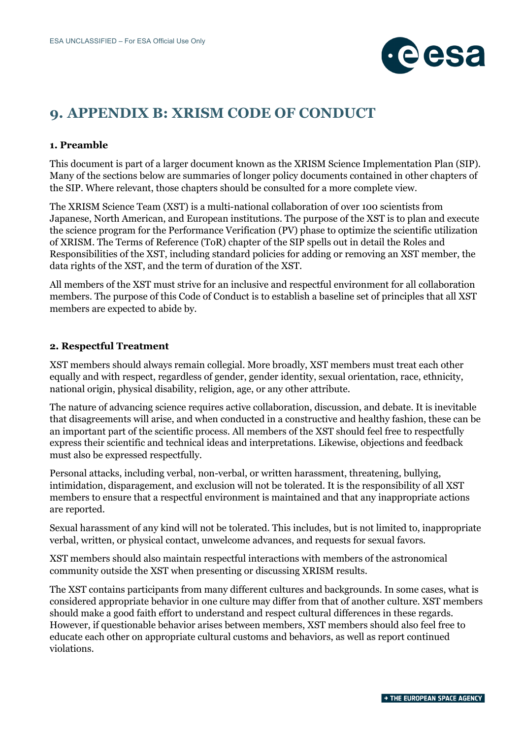

# **9. APPENDIX B: XRISM CODE OF CONDUCT**

#### **1. Preamble**

This document is part of a larger document known as the XRISM Science Implementation Plan (SIP). Many of the sections below are summaries of longer policy documents contained in other chapters of the SIP. Where relevant, those chapters should be consulted for a more complete view.

The XRISM Science Team (XST) is a multi-national collaboration of over 100 scientists from Japanese, North American, and European institutions. The purpose of the XST is to plan and execute the science program for the Performance Verification (PV) phase to optimize the scientific utilization of XRISM. The Terms of Reference (ToR) chapter of the SIP spells out in detail the Roles and Responsibilities of the XST, including standard policies for adding or removing an XST member, the data rights of the XST, and the term of duration of the XST.

All members of the XST must strive for an inclusive and respectful environment for all collaboration members. The purpose of this Code of Conduct is to establish a baseline set of principles that all XST members are expected to abide by.

#### **2. Respectful Treatment**

XST members should always remain collegial. More broadly, XST members must treat each other equally and with respect, regardless of gender, gender identity, sexual orientation, race, ethnicity, national origin, physical disability, religion, age, or any other attribute.

The nature of advancing science requires active collaboration, discussion, and debate. It is inevitable that disagreements will arise, and when conducted in a constructive and healthy fashion, these can be an important part of the scientific process. All members of the XST should feel free to respectfully express their scientific and technical ideas and interpretations. Likewise, objections and feedback must also be expressed respectfully.

Personal attacks, including verbal, non-verbal, or written harassment, threatening, bullying, intimidation, disparagement, and exclusion will not be tolerated. It is the responsibility of all XST members to ensure that a respectful environment is maintained and that any inappropriate actions are reported.

Sexual harassment of any kind will not be tolerated. This includes, but is not limited to, inappropriate verbal, written, or physical contact, unwelcome advances, and requests for sexual favors.

XST members should also maintain respectful interactions with members of the astronomical community outside the XST when presenting or discussing XRISM results.

The XST contains participants from many different cultures and backgrounds. In some cases, what is considered appropriate behavior in one culture may differ from that of another culture. XST members should make a good faith effort to understand and respect cultural differences in these regards. However, if questionable behavior arises between members, XST members should also feel free to educate each other on appropriate cultural customs and behaviors, as well as report continued violations.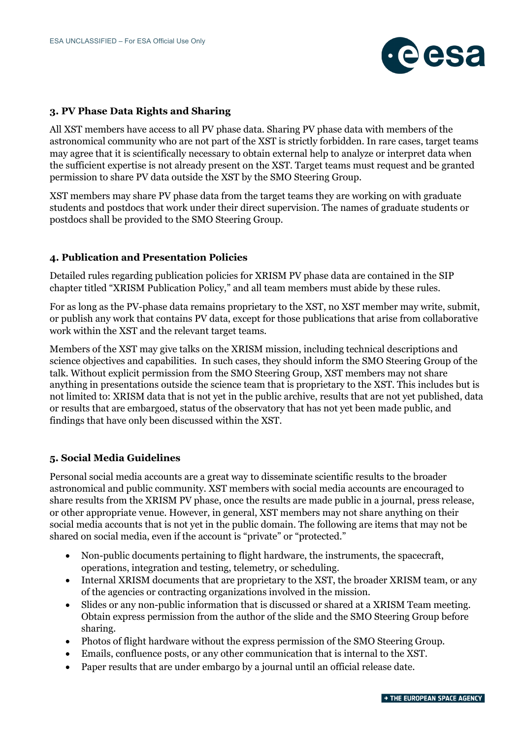

#### **3. PV Phase Data Rights and Sharing**

All XST members have access to all PV phase data. Sharing PV phase data with members of the astronomical community who are not part of the XST is strictly forbidden. In rare cases, target teams may agree that it is scientifically necessary to obtain external help to analyze or interpret data when the sufficient expertise is not already present on the XST. Target teams must request and be granted permission to share PV data outside the XST by the SMO Steering Group.

XST members may share PV phase data from the target teams they are working on with graduate students and postdocs that work under their direct supervision. The names of graduate students or postdocs shall be provided to the SMO Steering Group.

#### **4. Publication and Presentation Policies**

Detailed rules regarding publication policies for XRISM PV phase data are contained in the SIP chapter titled "XRISM Publication Policy," and all team members must abide by these rules.

For as long as the PV-phase data remains proprietary to the XST, no XST member may write, submit, or publish any work that contains PV data, except for those publications that arise from collaborative work within the XST and the relevant target teams.

Members of the XST may give talks on the XRISM mission, including technical descriptions and science objectives and capabilities. In such cases, they should inform the SMO Steering Group of the talk. Without explicit permission from the SMO Steering Group, XST members may not share anything in presentations outside the science team that is proprietary to the XST. This includes but is not limited to: XRISM data that is not yet in the public archive, results that are not yet published, data or results that are embargoed, status of the observatory that has not yet been made public, and findings that have only been discussed within the XST.

#### **5. Social Media Guidelines**

Personal social media accounts are a great way to disseminate scientific results to the broader astronomical and public community. XST members with social media accounts are encouraged to share results from the XRISM PV phase, once the results are made public in a journal, press release, or other appropriate venue. However, in general, XST members may not share anything on their social media accounts that is not yet in the public domain. The following are items that may not be shared on social media, even if the account is "private" or "protected."

- Non-public documents pertaining to flight hardware, the instruments, the spacecraft, operations, integration and testing, telemetry, or scheduling.
- Internal XRISM documents that are proprietary to the XST, the broader XRISM team, or any of the agencies or contracting organizations involved in the mission.
- Slides or any non-public information that is discussed or shared at a XRISM Team meeting. Obtain express permission from the author of the slide and the SMO Steering Group before sharing.
- Photos of flight hardware without the express permission of the SMO Steering Group.
- Emails, confluence posts, or any other communication that is internal to the XST.
- Paper results that are under embargo by a journal until an official release date.